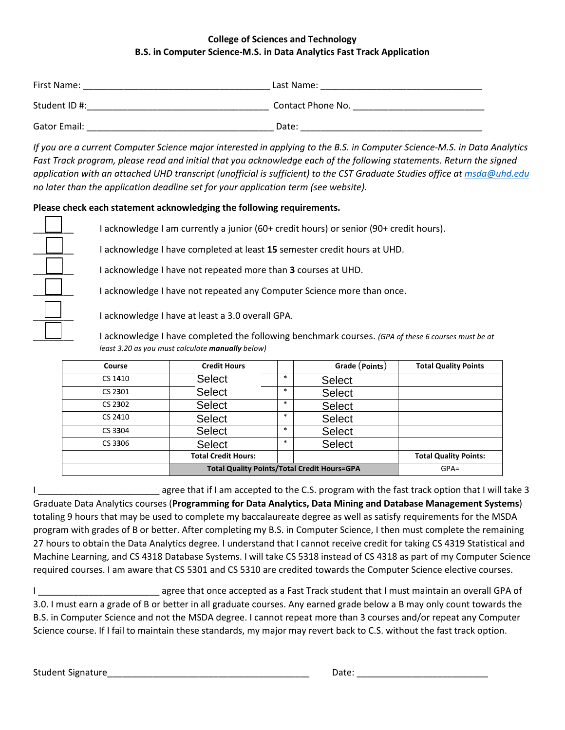## **College of Sciences and Technology B.S. in Computer Science-M.S. in Data Analytics Fast Track Application**

| First Name:         | Last Name:        |
|---------------------|-------------------|
| Student ID #:       | Contact Phone No. |
| <b>Gator Email:</b> | Date:             |

*If you are a current Computer Science major interested in applying to the B.S. in Computer Science-M.S. in Data Analytics Fast Track program, please read and initial that you acknowledge each of the following statements. Return the signed application with an attached UHD transcript (unofficial is sufficient) to the CST Graduate Studies office at [msda@uhd.edu](mailto:msda@uhd.edu) no later than the application deadline set for your application term (see website).*

## **Please check each statement acknowledging the following requirements.**

I acknowledge I am currently a junior (60+ credit hours) or senior (90+ credit hours).

\_\_\_\_\_\_\_\_ I acknowledge I have completed at least **15** semester credit hours at UHD.

\_\_\_\_\_\_\_\_ I acknowledge I have not repeated more than **3** courses at UHD.

I acknowledge I have not repeated any Computer Science more than once.

I acknowledge I have at least a 3.0 overall GPA.

\_\_\_\_\_\_\_\_ I acknowledge I have completed the following benchmark courses. *(GPA of these 6 courses must be at least 3.20 as you must calculate manually below)* 

| Course  | <b>Credit Hours</b>                                |        | Grade (Points) | <b>Total Quality Points</b>  |
|---------|----------------------------------------------------|--------|----------------|------------------------------|
| CS 1410 | <b>Select</b>                                      | $\ast$ | <b>Select</b>  |                              |
| CS 2301 | <b>Select</b>                                      | $\ast$ | <b>Select</b>  |                              |
| CS 2302 | <b>Select</b>                                      | $\ast$ | <b>Select</b>  |                              |
| CS 2410 | <b>Select</b>                                      | $\ast$ | <b>Select</b>  |                              |
| CS 3304 | <b>Select</b>                                      | *      | <b>Select</b>  |                              |
| CS 3306 | <b>Select</b>                                      | $\ast$ | <b>Select</b>  |                              |
|         | <b>Total Credit Hours:</b>                         |        |                | <b>Total Quality Points:</b> |
|         | <b>Total Quality Points/Total Credit Hours=GPA</b> |        | $GPA=$         |                              |

I \_\_\_\_\_\_\_\_\_\_\_\_\_\_\_\_\_\_\_\_\_\_\_\_ agree that if I am accepted to the C.S. program with the fast track option that I will take 3 Graduate Data Analytics courses (**Programming for Data Analytics, Data Mining and Database Management Systems**) totaling 9 hours that may be used to complete my baccalaureate degree as well as satisfy requirements for the MSDA program with grades of B or better. After completing my B.S. in Computer Science, I then must complete the remaining 27 hours to obtain the Data Analytics degree. I understand that I cannot receive credit for taking CS 4319 Statistical and Machine Learning, and CS 4318 Database Systems. I will take CS 5318 instead of CS 4318 as part of my Computer Science required courses. I am aware that CS 5301 and CS 5310 are credited towards the Computer Science elective courses.

I \_\_\_\_\_\_\_\_\_\_\_\_\_\_\_\_\_\_\_\_\_\_\_\_ agree that once accepted as a Fast Track student that I must maintain an overall GPA of 3.0. I must earn a grade of B or better in all graduate courses. Any earned grade below a B may only count towards the B.S. in Computer Science and not the MSDA degree. I cannot repeat more than 3 courses and/or repeat any Computer Science course. If I fail to maintain these standards, my major may revert back to C.S. without the fast track option.

Student Signature\_\_\_\_\_\_\_\_\_\_\_\_\_\_\_\_\_\_\_\_\_\_\_\_\_\_\_\_\_\_\_\_\_\_\_\_\_\_\_\_ Date: \_\_\_\_\_\_\_\_\_\_\_\_\_\_\_\_\_\_\_\_\_\_\_\_\_\_